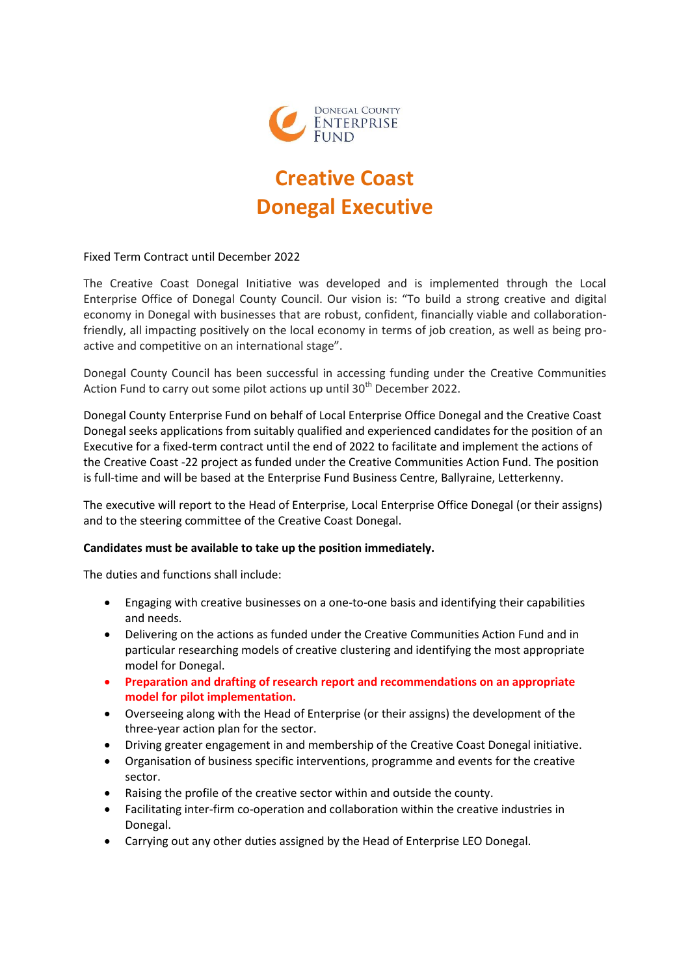

## **Creative Coast Donegal Executive**

Fixed Term Contract until December 2022

The Creative Coast Donegal Initiative was developed and is implemented through the Local Enterprise Office of Donegal County Council. Our vision is: "To build a strong creative and digital economy in Donegal with businesses that are robust, confident, financially viable and collaborationfriendly, all impacting positively on the local economy in terms of job creation, as well as being proactive and competitive on an international stage".

Donegal County Council has been successful in accessing funding under the Creative Communities Action Fund to carry out some pilot actions up until 30<sup>th</sup> December 2022.

Donegal County Enterprise Fund on behalf of Local Enterprise Office Donegal and the Creative Coast Donegal seeks applications from suitably qualified and experienced candidates for the position of an Executive for a fixed-term contract until the end of 2022 to facilitate and implement the actions of the Creative Coast -22 project as funded under the Creative Communities Action Fund. The position is full-time and will be based at the Enterprise Fund Business Centre, Ballyraine, Letterkenny.

The executive will report to the Head of Enterprise, Local Enterprise Office Donegal (or their assigns) and to the steering committee of the Creative Coast Donegal.

## **Candidates must be available to take up the position immediately.**

The duties and functions shall include:

- Engaging with creative businesses on a one-to-one basis and identifying their capabilities and needs.
- Delivering on the actions as funded under the Creative Communities Action Fund and in particular researching models of creative clustering and identifying the most appropriate model for Donegal.
- **Preparation and drafting of research report and recommendations on an appropriate model for pilot implementation.**
- Overseeing along with the Head of Enterprise (or their assigns) the development of the three-year action plan for the sector.
- Driving greater engagement in and membership of the Creative Coast Donegal initiative.
- Organisation of business specific interventions, programme and events for the creative sector.
- Raising the profile of the creative sector within and outside the county.
- Facilitating inter-firm co-operation and collaboration within the creative industries in Donegal.
- Carrying out any other duties assigned by the Head of Enterprise LEO Donegal.